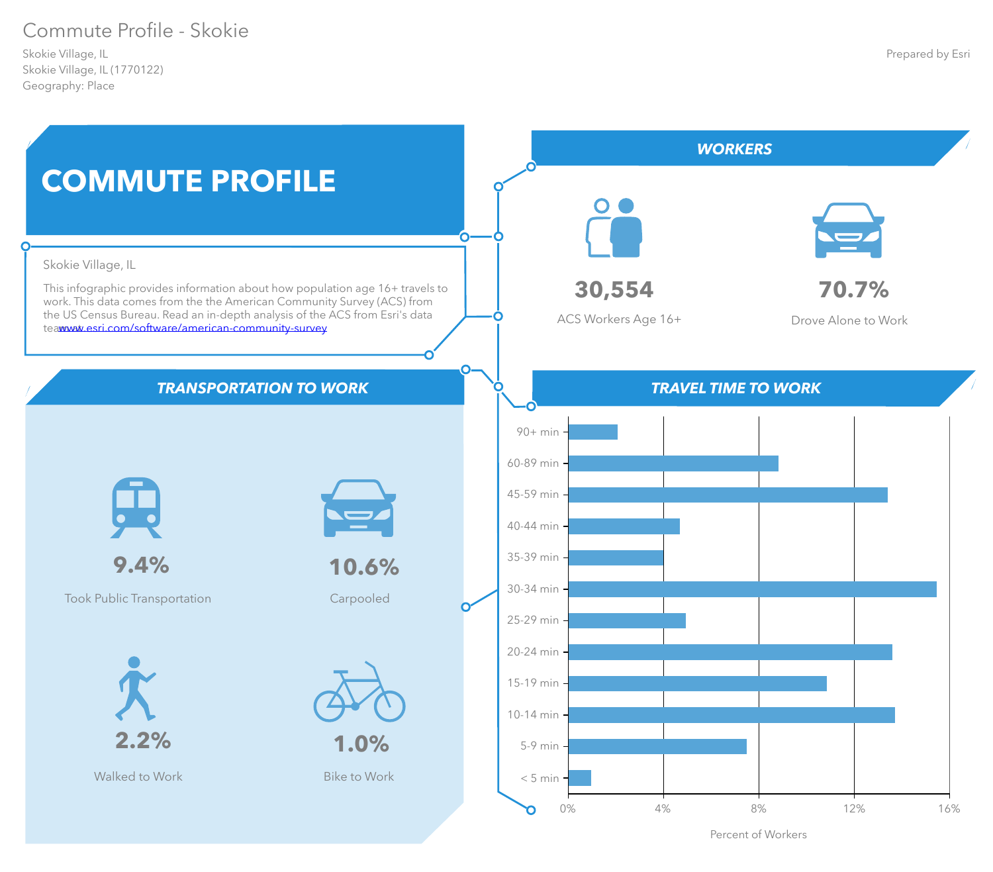# Commute Profile - Skokie

Skokie Village, IL (1770122) Geography: Place Skokie Village, IL



Percent of Workers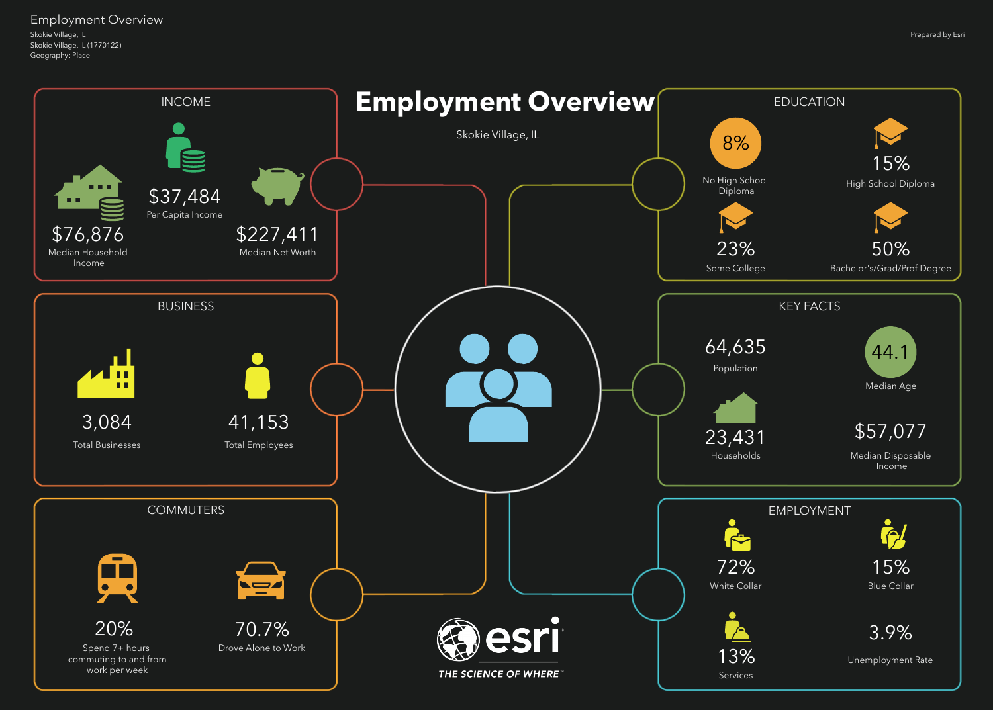Skokie Village, IL (1770122) Geography: Place Skokie Village, IL Employment Overview

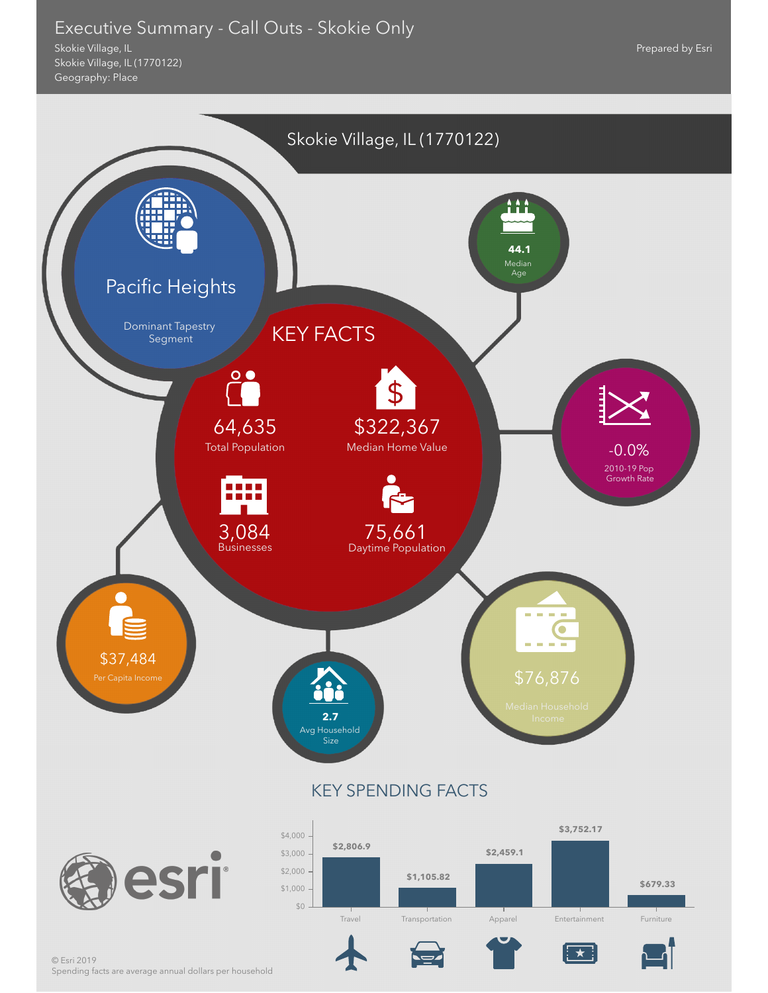## Executive Summary - Call Outs - Skokie Only

Skokie Village, IL (1770122) Geography: Place Skokie Village, IL



 $\overline{\star}$ 

Prepared by Esri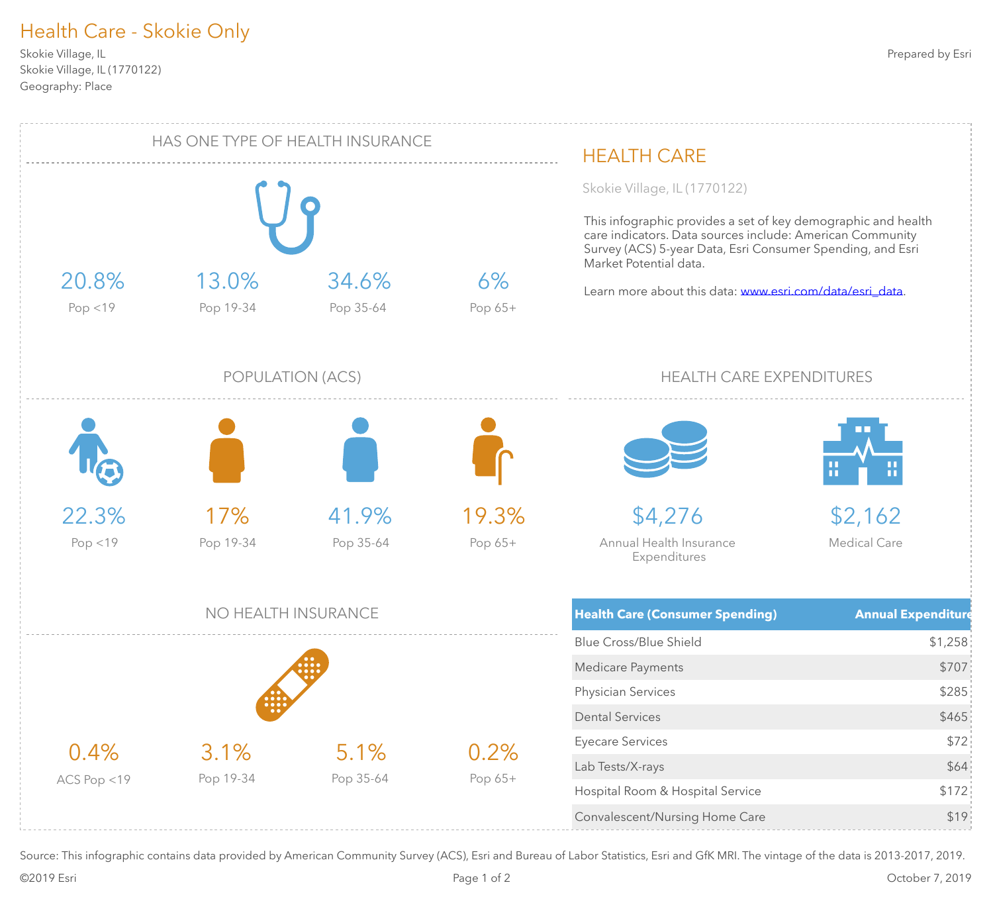# Health Care - Skokie Only

Skokie Village, IL (1770122) Geography: Place Skokie Village, IL



Source: This infographic contains data provided by American Community Survey (ACS), Esri and Bureau of Labor Statistics, Esri and GfK MRI. The vintage of the data is 2013-2017, 2019.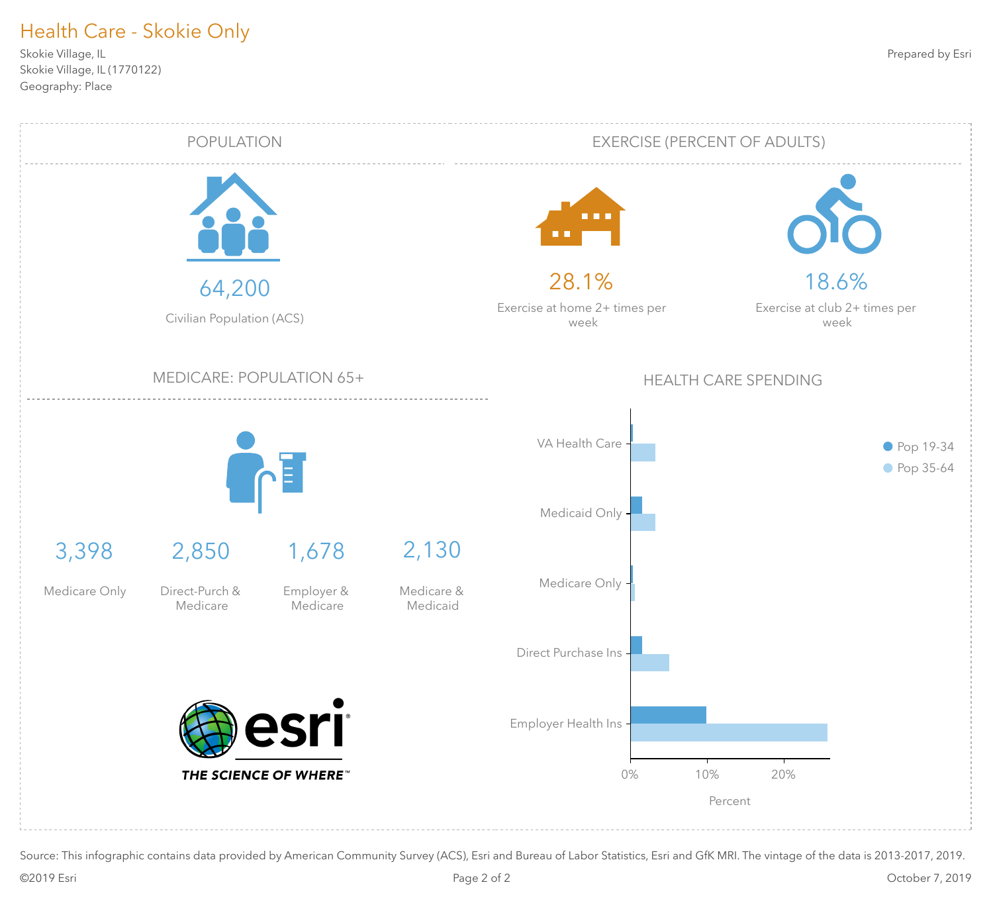# Health Care - Skokie Only

Skokie Village, IL (1770122) Geography: Place Skokie Village, IL



Source: This infographic contains data provided by American Community Survey (ACS), Esri and Bureau of Labor Statistics, Esri and GfK MRI. The vintage of the data is 2013-2017, 2019.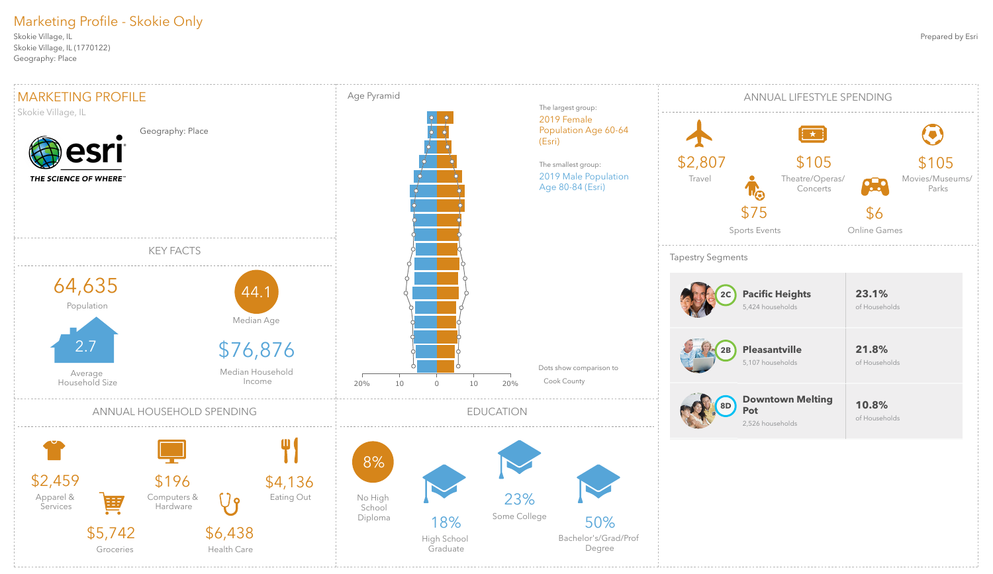### Prepared by Esri

Skokie Village, IL (1770122) Geography: Place Skokie Village, IL

# Marketing Profile - Skokie Only

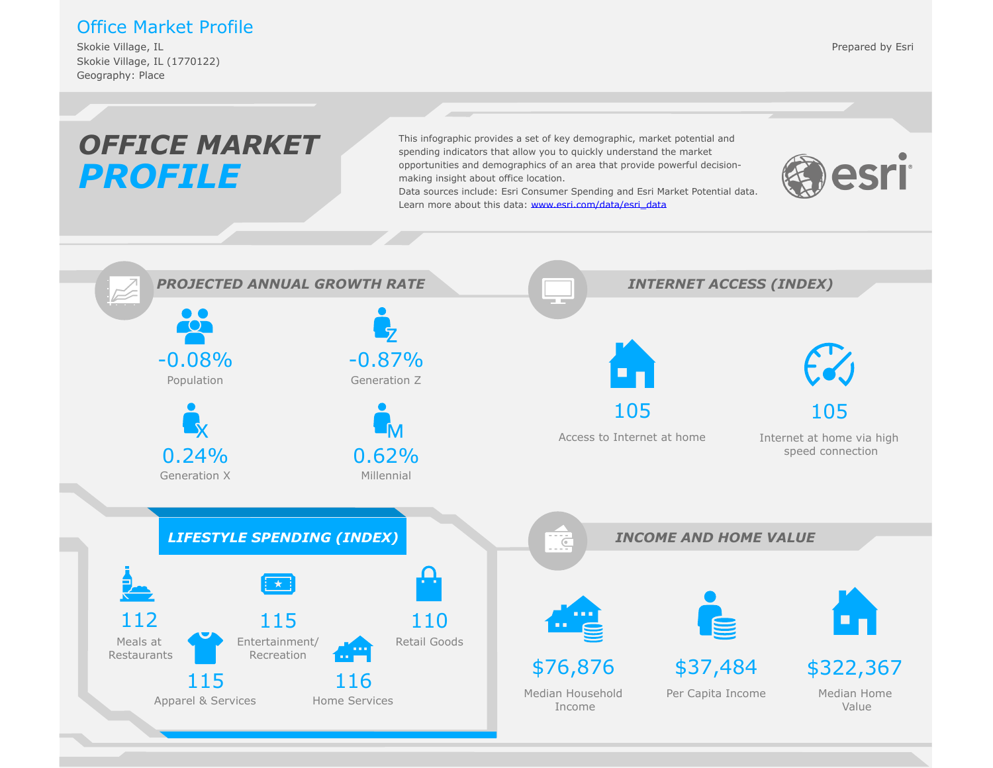### Office Market Profile

Skokie Village, IL (1770122) Geography: Place Skokie Village, IL